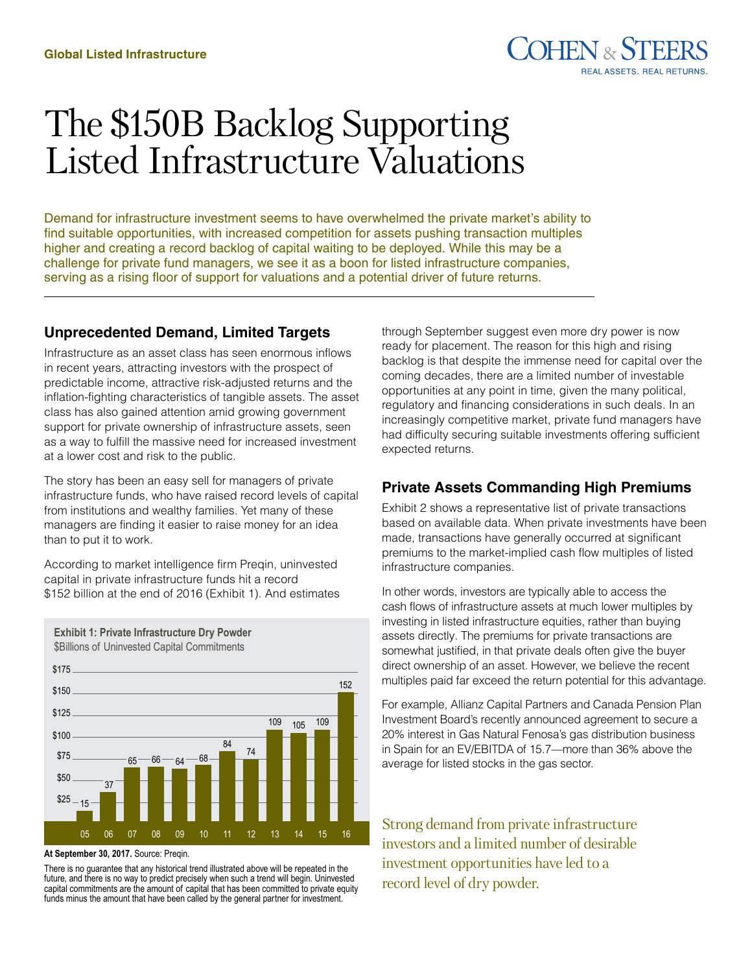# The \$150B Backlog Supporting Listed Infrastructure Valuations

Demand for infrastructure investment seems to have overwhelmed the private market's ability to find suitable opportunities, with increased competition for assets pushing transaction multiples higher and creating a record backlog of capital waiting to be deployed. While this may be a challenge for private fund managers, we see it as a boon for listed infrastructure companies, serving as a rising floor of support for valuations and a potential driver of future returns.

# **Unprecedented Demand, Limited Targets**

Infrastructure as an asset class has seen enormous inflows in recent years, attracting investors with the prospect of predictable income, attractive risk-adjusted returns and the inflation-fighting characteristics of tangible assets. The asset class has also gained attention amid growing government support for private ownership of infrastructure assets, seen as a way to fulfill the massive need for increased investment at a lower cost and risk to the public.

The story has been an easy sell for managers of private infrastructure funds, who have raised record levels of capital from institutions and wealthy families. Yet many of these managers are finding it easier to raise money for an idea than to put it to work.

According to market intelligence firm Preqin, uninvested capital in private infrastructure funds hit a record \$152 billion at the end of 2016 (Exhibit 1). And estimates



**Exhibit 1: Private Infrastructure Dry Powder** \$Billions of Uninvested Capital Commitments

#### **At September 30, 2017.** Source: Preqin.

There is no guarantee that any historical trend illustrated above will be repeated in the future, and there is no way to predict precisely when such a trend will begin. Uninvested capital commitments are the amount of capital that has been committed to private equity funds minus the amount that have been called by the general partner for investment.

through September suggest even more dry power is now ready for placement. The reason for this high and rising backlog is that despite the immense need for capital over the coming decades, there are a limited number of investable opportunities at any point in time, given the many political, regulatory and financing considerations in such deals. In an increasingly competitive market, private fund managers have had difficulty securing suitable investments offering sufficient expected returns.

# **Private Assets Commanding High Premiums**

Exhibit 2 shows a representative list of private transactions based on available data. When private investments have been made, transactions have generally occurred at significant premiums to the market-implied cash flow multiples of listed infrastructure companies.

In other words, investors are typically able to access the cash flows of infrastructure assets at much lower multiples by investing in listed infrastructure equities, rather than buying assets directly. The premiums for private transactions are somewhat justified, in that private deals often give the buyer direct ownership of an asset. However, we believe the recent multiples paid far exceed the return potential for this advantage.

For example, Allianz Capital Partners and Canada Pension Plan Investment Board's recently announced agreement to secure a 20% interest in Gas Natural Fenosa's gas distribution business in Spain for an EV/EBITDA of 15.7—more than 36% above the average for listed stocks in the gas sector.

Strong demand from private infrastructure investors and a limited number of desirable investment opportunities have led to a record level of dry powder.